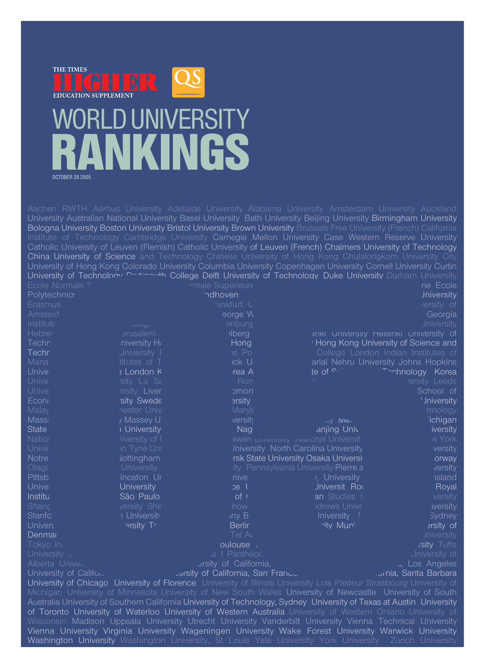

### WORLD UNIVERSITY NKINGS OCTOBER 28 2005

|                                                                                                                                                                                                                                     |                               | Aachen RWTH Aarhus University Adelaide University Alabama University Amsterdam University Auckland                                                                                                                          |                                                                                           |                                      |  |  |  |
|-------------------------------------------------------------------------------------------------------------------------------------------------------------------------------------------------------------------------------------|-------------------------------|-----------------------------------------------------------------------------------------------------------------------------------------------------------------------------------------------------------------------------|-------------------------------------------------------------------------------------------|--------------------------------------|--|--|--|
|                                                                                                                                                                                                                                     |                               | University Australian National University Basel University Bath University Beijing University Birmingham University                                                                                                         |                                                                                           |                                      |  |  |  |
|                                                                                                                                                                                                                                     |                               | Bologna University Boston University Bristol University Brown University Brussels Free University (French) California                                                                                                       |                                                                                           |                                      |  |  |  |
|                                                                                                                                                                                                                                     |                               | Institute of Technology Cambridge University Carnegie Mellon University Case Western Reserve University                                                                                                                     |                                                                                           |                                      |  |  |  |
|                                                                                                                                                                                                                                     |                               | Catholic University of Leuven (Flemish) Catholic University of Leuven (French) Chalmers University of Technology                                                                                                            |                                                                                           |                                      |  |  |  |
|                                                                                                                                                                                                                                     |                               | China University of Science and Technology Chinese University of Hong Kong Chulalongkorn University City<br>University of Hong Kong Colorado University Columbia University Copenhagen University Cornell University Curtin |                                                                                           |                                      |  |  |  |
|                                                                                                                                                                                                                                     |                               | University of Technology Decterbuth College Delft University of Technology Duke University Durham University                                                                                                                |                                                                                           |                                      |  |  |  |
| Ecole Normale <sub>S</sub>                                                                                                                                                                                                          |                               | <i>rmale Supérieure</i>                                                                                                                                                                                                     |                                                                                           | ne Ecole                             |  |  |  |
| Polytechnio <sup>®</sup>                                                                                                                                                                                                            |                               | indhoven                                                                                                                                                                                                                    |                                                                                           | <b>Jniversity</b>                    |  |  |  |
| Erasmus                                                                                                                                                                                                                             |                               | ankfurt U                                                                                                                                                                                                                   |                                                                                           | /ersity of                           |  |  |  |
| Amsterd                                                                                                                                                                                                                             |                               | eorge W                                                                                                                                                                                                                     |                                                                                           | Georgia                              |  |  |  |
| Institute                                                                                                                                                                                                                           | uuyu                          | enburg                                                                                                                                                                                                                      |                                                                                           | <b>Jniversity</b>                    |  |  |  |
| Hebre <sub>v</sub>                                                                                                                                                                                                                  | <b>arusalem</b>               | <b>ilberg</b>                                                                                                                                                                                                               | <b>SINKI UNIVERSITY HEISINKI UNIVERSITY Of</b>                                            |                                      |  |  |  |
| Techn                                                                                                                                                                                                                               | niversity Ho                  | Hong                                                                                                                                                                                                                        | <sup>'</sup> Hong Kong University of Science and                                          |                                      |  |  |  |
| <b>Techr</b>                                                                                                                                                                                                                        | Jniversity E                  | $95$ Po.                                                                                                                                                                                                                    |                                                                                           | College London Indian Institutes of  |  |  |  |
| Mana                                                                                                                                                                                                                                | titutes of T                  | <b>ICK U</b>                                                                                                                                                                                                                |                                                                                           | arlal Nehru University Johns Hopkins |  |  |  |
| Unive                                                                                                                                                                                                                               | » London K                    | rea A                                                                                                                                                                                                                       | te of $\circ$ -                                                                           | Thinology Korea                      |  |  |  |
| Unive                                                                                                                                                                                                                               | sity La Sa                    | Rom                                                                                                                                                                                                                         |                                                                                           | ersity Leeds                         |  |  |  |
| Unive                                                                                                                                                                                                                               | <b>Brsity Liver</b>           | omon                                                                                                                                                                                                                        |                                                                                           | School of                            |  |  |  |
| Econ                                                                                                                                                                                                                                | sity Swede                    | <b>ersity</b>                                                                                                                                                                                                               |                                                                                           | 'Jniversity                          |  |  |  |
| <b>Malay</b>                                                                                                                                                                                                                        | nester Univ                   | Maryla                                                                                                                                                                                                                      |                                                                                           | hnology                              |  |  |  |
| <b>Mass</b>                                                                                                                                                                                                                         | / Massey U                    | versity                                                                                                                                                                                                                     | ity IVIE.                                                                                 | 'ichigan                             |  |  |  |
| <b>State</b><br>Nation                                                                                                                                                                                                              | I University                  | Nag <sub>i</sub>                                                                                                                                                                                                            | anjing Univ                                                                               | <i>iversity</i>                      |  |  |  |
| Unive                                                                                                                                                                                                                               | liversity of I<br>on Tyne Uni |                                                                                                                                                                                                                             | <b>ilwan</b> University ivalidal Universit<br><b>Jniversity North Carolina University</b> | <b>N</b> York<br>versity             |  |  |  |
| <b>Notre</b>                                                                                                                                                                                                                        | Jottingham                    |                                                                                                                                                                                                                             | rsk State University Osaka Universi                                                       | orway                                |  |  |  |
| Otago                                                                                                                                                                                                                               | <b>University</b>             |                                                                                                                                                                                                                             | ity Pennsylvania University Pierre a                                                      | versity                              |  |  |  |
| Pittsb                                                                                                                                                                                                                              | inceton Ur                    | nive                                                                                                                                                                                                                        | <sup>1</sup> , University                                                                 | <b>nsland</b>                        |  |  |  |
| Unive                                                                                                                                                                                                                               | University                    | pe <sub>l</sub>                                                                                                                                                                                                             | Jniversit Rod                                                                             | Royal                                |  |  |  |
| Institu                                                                                                                                                                                                                             | São Paulo                     | of (                                                                                                                                                                                                                        | an Studies {                                                                              | versity                              |  |  |  |
| Shanc                                                                                                                                                                                                                               | versity She                   | how                                                                                                                                                                                                                         | <b>Idrews Unive</b>                                                                       | iversity                             |  |  |  |
| <b>Stanfo</b>                                                                                                                                                                                                                       | <b>:</b> University           | iny B                                                                                                                                                                                                                       | Jniversity ?                                                                              | <b>Sydney</b>                        |  |  |  |
| <b>Univers</b>                                                                                                                                                                                                                      | arsity Tr                     | <b>Berlin</b>                                                                                                                                                                                                               | <b>hity Muni</b>                                                                          | arsity of                            |  |  |  |
| Denmar                                                                                                                                                                                                                              |                               | Tel Av                                                                                                                                                                                                                      |                                                                                           | Jniversity                           |  |  |  |
| Tokyo In.                                                                                                                                                                                                                           |                               | oulouse :                                                                                                                                                                                                                   |                                                                                           | <i>isity</i> Tufts                   |  |  |  |
| University                                                                                                                                                                                                                          |                               | as 1 Panthéor.                                                                                                                                                                                                              |                                                                                           | Jniversity of                        |  |  |  |
| Alberta Unive.                                                                                                                                                                                                                      |                               | arsity of California,                                                                                                                                                                                                       |                                                                                           | ., Los Angeles                       |  |  |  |
| University of Caliton                                                                                                                                                                                                               |                               | versity of California, San Francic                                                                                                                                                                                          |                                                                                           | <sub>.</sub> nia, Santa Barbara      |  |  |  |
|                                                                                                                                                                                                                                     |                               | University of Chicago University of Florence University of Illinois University Lois Pasteur Strasbourg University of                                                                                                        |                                                                                           |                                      |  |  |  |
| Michigan University of Minnesota University of New South Wales University of Newcastle University of South<br>Australia University of Southern California University of Technology, Sydney University of Texas at Austin University |                               |                                                                                                                                                                                                                             |                                                                                           |                                      |  |  |  |
| of Toronto University of Waterloo University of Western Australia University of Western Ontario University of                                                                                                                       |                               |                                                                                                                                                                                                                             |                                                                                           |                                      |  |  |  |
| Wisconsin Madison Uppsala University Utrecht University Vanderbilt University Vienna Technical University                                                                                                                           |                               |                                                                                                                                                                                                                             |                                                                                           |                                      |  |  |  |
|                                                                                                                                                                                                                                     |                               |                                                                                                                                                                                                                             |                                                                                           |                                      |  |  |  |
| Vienna University Virginia University Wageningen University Wake Forest University Warwick University                                                                                                                               |                               |                                                                                                                                                                                                                             |                                                                                           |                                      |  |  |  |

of Toronto University of Waterloo University of Western Australia University of Western Ontario Wisconsin Madison Uppsala University Utrecht University Vanderbilt University Vienna Technical University Vienna University Virginia University Wageningen University Wake Forest University Warwick University Washington University Washington University, St Louis Yale University York University Zurich University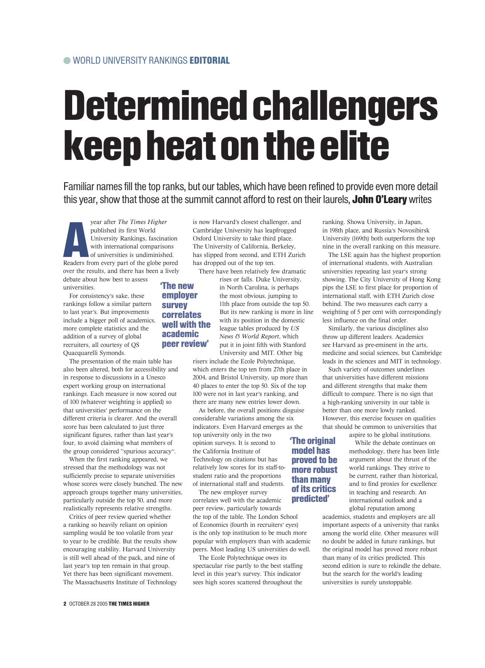## Determined challengers keep heat on the elite

Familiar names fill the top ranks, but our tables, which have been refined to provide even more detail this year, show that those at the summit cannot afford to rest on their laurels, John O'Leary writes

**A**<br>Readers fi year after *The Times Higher* published its first World University Rankings, fascination with international comparisons of universities is undiminished. Readers from every part of the globe pored over the results, and there has been a lively debate about how best to assess universities. 'The new

> employer survey correlates well with the academic peer review'

For consistency's sake, these rankings follow a similar pattern to last year's. But improvements include a bigger poll of academics, more complete statistics and the addition of a survey of global recruiters, all courtesy of QS Quacquarelli Symonds.

The presentation of the main table has also been altered, both for accessibility and in response to discussions in a Unesco expert working group on international rankings. Each measure is now scored out of 100 (whatever weighting is applied) so that universities' performance on the different criteria is clearer. And the overall score has been calculated to just three significant figures, rather than last year's four, to avoid claiming what members of the group considered "spurious accuracy".

When the first ranking appeared, we stressed that the methodology was not sufficiently precise to separate universities whose scores were closely bunched. The new approach groups together many universities, particularly outside the top 50, and more realistically represents relative strengths.

Critics of peer review queried whether a ranking so heavily reliant on opinion sampling would be too volatile from year to year to be credible. But the results show encouraging stability. Harvard University is still well ahead of the pack, and nine of last year's top ten remain in that group. Yet there has been significant movement. The Massachusetts Institute of Technology is now Harvard's closest challenger, and Cambridge University has leapfrogged Oxford University to take third place. The University of California, Berkeley, has slipped from second, and ETH Zurich has dropped out of the top ten.

There have been relatively few dramatic rises or falls. Duke University, in North Carolina, is perhaps the most obvious, jumping to 11th place from outside the top 50. But its new ranking is more in line with its position in the domestic league tables produced by *US News & World Report*, which put it in joint fifth with Stanford University and MIT. Other big

risers include the Ecole Polytechnique, which enters the top ten from 27th place in 2004, and Bristol University, up more than 40 places to enter the top 50. Six of the top 100 were not in last year's ranking, and there are many new entries lower down.

As before, the overall positions disguise considerable variations among the six indicators. Even Harvard emerges as the top university only in the two opinion surveys. It is second to the California Institute of Technology on citations but has relatively low scores for its staff-tostudent ratio and the proportions of international staff and students. 'The original model has proved to be more robust than many

The new employer survey correlates well with the academic peer review, particularly towards the top of the table. The London School of Economics (fourth in recruiters' eyes) is the only top institution to be much more popular with employers than with academic peers. Most leading US universities do well. of its critics predicted'

The Ecole Polytechnique owes its spectacular rise partly to the best staffing level in this year's survey. This indicator sees high scores scattered throughout the

ranking. Showa University, in Japan, in 198th place, and Russia's Novosibirsk University (169th) both outperform the top nine in the overall ranking on this measure.

The LSE again has the highest proportion of international students, with Australian universities repeating last year's strong showing. The City University of Hong Kong pips the LSE to first place for proportion of international staff, with ETH Zurich close behind. The two measures each carry a weighting of 5 per cent with correspondingly less influence on the final order.

Similarly, the various disciplines also throw up different leaders. Academics see Harvard as pre-eminent in the arts, medicine and social sciences, but Cambridge leads in the sciences and MIT in technology.

Such variety of outcomes underlines that universities have different missions and different strengths that make them difficult to compare. There is no sign that a high-ranking university in our table is better than one more lowly ranked. However, this exercise focuses on qualities that should be common to universities that aspire to be global institutions.

While the debate continues on methodology, there has been little argument about the thrust of the world rankings. They strive to be current, rather than historical, and to find proxies for excellence in teaching and research. An international outlook and a global reputation among

academics, students and employers are all important aspects of a university that ranks among the world elite. Other measures will no doubt be added in future rankings, but the original model has proved more robust than many of its critics predicted. This second edition is sure to rekindle the debate, but the search for the world's leading universities is surely unstoppable.

#### 2 OCTOBER 28 2005 THE TIMES HIGHER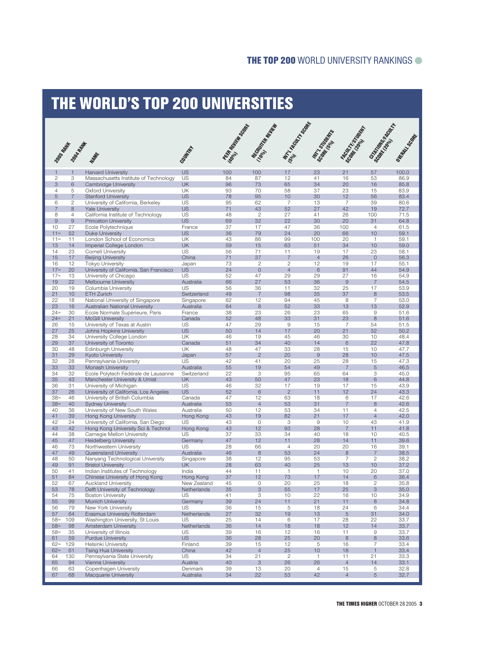### THE WORLD'S TOP 200 UNIVERSITIES

|                     |                     |                                                                   |                          | <b>PECA ROLL BOOM PRE</b> | Necasion Report           | Mr. N. Rock Track    | <b>MTTLE STATES</b>  | <b>Factor Highland</b> | <b>Grandom</b><br>Backman Road   | Oliton Scotland |
|---------------------|---------------------|-------------------------------------------------------------------|--------------------------|---------------------------|---------------------------|----------------------|----------------------|------------------------|----------------------------------|-----------------|
|                     | 2005-2014 AMERICAN  | MARK                                                              | Court At                 |                           |                           |                      |                      |                        |                                  |                 |
| $\mathbf{1}$        | $\mathbf{1}$        | <b>Harvard University</b>                                         | <b>US</b>                | 100                       | 100                       | 17                   | 23                   | 21                     | 57                               | 100.0           |
| $\overline{2}$      | 3                   | Massachusetts Institute of Technology                             | US                       | 84                        | 87                        | 12                   | 41                   | 16                     | 53                               | 86.9            |
| 3<br>$\overline{4}$ | 6<br>5              | Cambridge University<br><b>Oxford University</b>                  | <b>UK</b><br><b>UK</b>   | 96<br>93                  | 73<br>70                  | 65<br>58             | 34<br>37             | 20<br>23               | 16<br>15                         | 85.8<br>83.9    |
| 5                   | $\overline{7}$      | <b>Stanford University</b>                                        | <b>US</b>                | 78                        | 95                        | 10                   | 30                   | 12                     | 56                               | 83.4            |
| 6                   | $\mathbf{2}$        | University of California, Berkeley                                | US                       | 95                        | 62                        | $\overline{7}$       | 13                   | $\overline{7}$         | 39                               | 80.6            |
| 7<br>8              | 8<br>$\overline{4}$ | <b>Yale University</b>                                            | <b>US</b><br>US          | 71<br>48                  | 43<br>$\mathbf{2}$        | 52<br>27             | 27<br>41             | 42<br>26               | 19<br>100                        | 72.7<br>71.5    |
| 9                   | $\overline{9}$      | California Institute of Technology<br><b>Princeton University</b> | <b>US</b>                | 69                        | 32                        | 22                   | 30                   | 20                     | 31                               | 64.8            |
| 10                  | 27                  | Ecole Polytechnique                                               | France                   | 37                        | 17                        | 47                   | 36                   | 100                    | $\overline{4}$                   | 61.5            |
| $11 =$              | 52                  | <b>Duke University</b>                                            | <b>US</b>                | 36                        | 79                        | 24                   | 20                   | 66                     | 10                               | 59.1            |
| $11 =$<br>13        | 11<br>14            | London School of Economics                                        | UK<br><b>UK</b>          | 43<br>59                  | 86<br>15                  | 99<br>63             | 100<br>51            | 20<br>34               | $\mathbf{1}$<br>10               | 59.1<br>59.0    |
| 14                  | 23                  | Imperial College London<br><b>Cornell University</b>              | US                       | 56                        | 71                        | 11                   | 19                   | 17                     | 23                               | 58.1            |
| 15                  | 17                  | <b>Beijing University</b>                                         | China                    | 71                        | 37                        | $\overline{7}$       | $\overline{4}$       | 26                     | $\overline{0}$                   | 56.3            |
| 16                  | 12                  | <b>Tokyo University</b>                                           | Japan                    | 73                        | 2                         | $\mathbf{2}$         | 12                   | 19                     | 17                               | 55.1            |
| $17 =$              | 20                  | University of California, San Francisco                           | <b>US</b>                | 24                        | $\circ$                   | $\overline{4}$       | 6                    | 91                     | 44                               | 54.9            |
| $17 =$<br>19        | 13<br>22            | University of Chicago<br>Melbourne University                     | US<br>Australia          | 52<br>66                  | 47<br>27                  | 29<br>53             | 29<br>36             | 27<br>$\overline{9}$   | 16<br>$\overline{7}$             | 54.9<br>54.5    |
| 20                  | 19                  | Columbia University                                               | US                       | 56                        | 36                        | 11                   | 32                   | 25                     | 17                               | 53.9            |
| 21                  | 10                  | <b>ETH Zurich</b>                                                 | Switzerland              | 49                        | $\overline{7}$            | 98                   | 35                   | 37                     | 8                                | 53.5            |
| 22                  | 18                  | National University of Singapore                                  | Singapore                | 62                        | 12                        | 94                   | 45                   | 8                      | 7                                | 53.0            |
| 23<br>$24 =$        | 16<br>30            | Australian National University<br>Ecole Normale Supérieure, Paris | Australia<br>France      | 64<br>38                  | 8<br>23                   | 52<br>26             | 33<br>23             | 13<br>65               | 13<br>9                          | 52.9<br>51.6    |
| $24=$               | 21                  | <b>McGill University</b>                                          | Canada                   | 52                        | 48                        | 33                   | 31                   | 23                     | 8                                | 51.6            |
| 26                  | 15                  | University of Texas at Austin                                     | US                       | 47                        | 29                        | 9                    | 15                   | 7                      | 54                               | 51.5            |
| 27                  | 25                  | Johns Hopkins University                                          | <b>US</b>                | 50                        | 14                        | 17                   | 20                   | 21                     | 32                               | 50.2            |
| 28                  | 34                  | University College London                                         | UK                       | 46                        | 19                        | 45                   | 46                   | 30                     | 10                               | 48.4            |
| 29<br>30            | 37<br>48            | University of Toronto<br><b>Edinburgh University</b>              | Canada<br>UK             | 51<br>48                  | 34<br>47                  | 40<br>33             | 14<br>28             | 6<br>15                | 22<br>10                         | 47.8<br>47.7    |
| 31                  | 29                  | Kyoto University                                                  | Japan                    | 57                        | $\overline{2}$            | 20                   | $\overline{9}$       | 28                     | 10                               | 47.5            |
| 32                  | 28                  | Pennsylvania University                                           | US                       | 42                        | 41                        | 20                   | 25                   | 28                     | 15                               | 47.3            |
| 33                  | 33                  | Monash University                                                 | Australia                | 55                        | 19                        | 54                   | 49                   | $\overline{7}$         | 5                                | 46.5            |
| 34<br>35            | 32<br>43            | Ecole Polytech Fédérale de Lausanne                               | Switzerland<br><b>UK</b> | 22<br>43                  | 3<br>50                   | 95<br>47             | 65<br>23             | 64<br>18               | 3<br>6                           | 45.0<br>44.8    |
| 36                  | 31                  | Manchester University & Umist<br>University of Michigan           | US                       | 46                        | 32                        | 17                   | 19                   | 17                     | 15                               | 43.9            |
| 37                  | 26                  | University of California, Los Angeles                             | <b>US</b>                | 52                        | 6                         | $\overline{2}$       | 11                   | 12                     | 24                               | 43.3            |
| $38=$               | 46                  | University of British Columbia                                    | Canada                   | 47                        | 12                        | 63                   | 18                   | 6                      | 17                               | 42.6            |
| $38=$               | 40                  | <b>Sydney University</b>                                          | Australia                | 53                        | $\overline{4}$            | 53                   | 31                   | $\overline{7}$         | 8                                | 42.6            |
| 40<br>41            | 36<br>39            | University of New South Wales<br>Hong Kong University             | Australia<br>Hong Kong   | 50<br>43                  | 12<br>19                  | 53<br>82             | 34<br>21             | 11<br>17               | $\overline{4}$<br>$\overline{4}$ | 42.5<br>42.0    |
| 42                  | 24                  | University of California, San Diego                               | US                       | 43                        | $\circ$                   | 3                    | $\mathsf 9$          | 10                     | 43                               | 41.9            |
| 43                  | 42                  | Hong Kong University Sci & Technol                                | Hong Kong                | 43                        | 12                        | 93                   | 28                   | $\overline{7}$         | 11                               | 41.8            |
| 44                  | 38                  | Carnegie Mellon University                                        | US                       | 37                        | 33                        | 34                   | 40                   | 18                     | 10                               | 40.5            |
| 45<br>46            | 47<br>73            | <b>Heidelberg University</b><br>Northwestern University           | Germany<br>US            | 47<br>28                  | 12<br>66                  | 11<br>$\overline{4}$ | 28<br>20             | 14<br>20               | 11<br>16                         | 39.6<br>39.1    |
| 47                  | 49                  | Queensland University                                             | Australia                | 46                        | 8                         | 53                   | 24                   | 8                      | $\overline{7}$                   | 38.5            |
| 48                  | 50                  | Nanyang Technological University                                  | Singapore                | 38                        | 12                        | 95                   | 53                   | $\overline{7}$         | $\overline{2}$                   | 38.2            |
| 49                  | 91                  | <b>Bristol University</b>                                         | UK.                      | 28                        | 63                        | 40                   | 25                   | 13                     | 10                               | 37.2            |
| 50                  | 41<br>84            | Indian Institutes of Technology                                   | India                    | 44<br>37                  | 11<br>12                  | $\overline{1}$       | $\overline{1}$<br>17 | 10<br>14               | 20<br>6                          | 37.0            |
| 51<br>52            | 67                  | Chinese University of Hong Kong<br><b>Auckland University</b>     | Hong Kong<br>New Zealand | 45                        | $\mathsf{O}\xspace$       | 73<br>20             | 25                   | 18                     | $\overline{c}$                   | 36.4<br>35.8    |
| 53                  | 78                  | Delft University of Technology                                    | Netherlands              | 35                        | $\ensuremath{\mathsf{3}}$ | 55                   | $17\,$               | 25                     | $\ensuremath{\mathsf{3}}$        | 35.0            |
| 54                  | 75                  | <b>Boston University</b>                                          | US                       | 41                        | 3                         | 10                   | 22                   | 16                     | 10                               | 34.9            |
| 55                  | 99                  | Munich University                                                 | Germany                  | 39                        | 24                        | 11                   | 21                   | 11                     | $\,8\,$                          | 34.8            |
| 56<br>57            | 79<br>64            | New York University<br>Erasmus University Rotterdam               | US<br>Netherlands        | 36<br>27                  | 15<br>32                  | 5<br>19              | 18<br>13             | 24<br>$\overline{5}$   | 6<br>31                          | 34.4<br>34.0    |
| $58 =$              | 109                 | Washington University, St Louis                                   | US                       | 25                        | 14                        | 6                    | 17                   | 28                     | 22                               | 33.7            |
| $58=$               | 98                  | Amsterdam University                                              | Netherlands              | 36                        | 14                        | 18                   | 18                   | 12                     | 14                               | 33.7            |
| $58=$               | 35                  | University of Illinois                                            | US                       | 39                        | 16                        | 12                   | 16                   | 11                     | $\hbox{9}$                       | 33.7            |
| 61<br>$62=$         | 59<br>129           | <b>Purdue University</b><br>Helsinki University                   | <b>US</b><br>Finland     | 36<br>39                  | 28<br>15                  | 25<br>12             | 20<br>5              | $\bf8$<br>16           | $\,8\,$<br>$\overline{7}$        | 33.6<br>33.4    |
| $62 =$              | 61                  | <b>Tsing Hua University</b>                                       | China                    | 42                        | $\overline{4}$            | 25                   | $10$                 | 18                     | $\overline{1}$                   | 33.4            |
| 64                  | 130                 | Pennsylvania State University                                     | US                       | 34                        | 21                        | $\overline{c}$       | $\mathbf{1}$         | 11                     | 21                               | 33.3            |
| 65                  | 94                  | Vienna University                                                 | Austria                  | 40                        | $\ensuremath{\mathsf{3}}$ | 26                   | 26                   | $\overline{4}$         | 14                               | 33.1            |
| 66                  | 63                  | Copenhagen University                                             | Denmark                  | 39                        | 13                        | 20                   | $\overline{4}$       | 15<br>$\overline{4}$   | 5                                | 32.8            |
| 67                  | 68                  | Macquarie University                                              | Australia                | 34                        | 22                        | 53                   | 42                   |                        | 5                                | 32.7            |

THE TIMES HIGHER OCTOBER 28 2005 3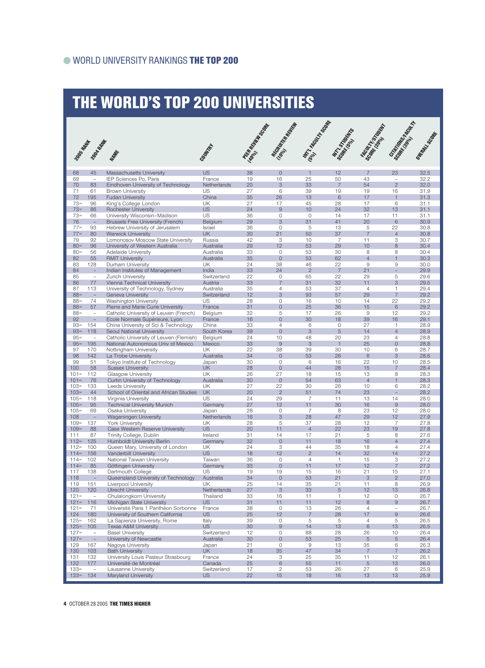### THE WORLD'S TOP 200 UNIVERSITIES

| 2009-8/WH          | 2008年9月末                             |                                                                          | Courtoff                 | <b>FESTA RIPLE SOCIETY</b> | REGION ROAD                      | MATIN ROAD TO BOOM   | Mr. 7 traged My      | Staten Houseway           | och manufacturer               | Outcast Libraries |
|--------------------|--------------------------------------|--------------------------------------------------------------------------|--------------------------|----------------------------|----------------------------------|----------------------|----------------------|---------------------------|--------------------------------|-------------------|
|                    |                                      | MARK                                                                     |                          |                            |                                  |                      |                      |                           |                                |                   |
| 68                 | 45                                   | Massachusetts University                                                 | <b>US</b>                | 38                         | $\circ$                          | $\mathbf{1}$         | 12                   | 7                         | 23                             | 32.5              |
| 69                 | $\overline{\phantom{a}}$             | IEP Sciences Po, Paris                                                   | France                   | 19                         | 16                               | 25                   | 50                   | 43                        | $\overline{\phantom{0}}$       | 32.2              |
| 70<br>71           | 83<br>61                             | Eindhoven University of Technology<br><b>Brown University</b>            | Netherlands<br>US        | 20<br>27                   | 3<br>6                           | 33<br>39             | $\overline{7}$<br>19 | 54<br>19                  | $\overline{2}$<br>16           | 32.0<br>31.9      |
| 72                 | 195                                  | <b>Fudan University</b>                                                  | China                    | 35                         | 26                               | 13                   | 6                    | 17                        | $\mathbf{1}$                   | 31.3              |
| $73=$              | 96                                   | King's College London                                                    | UK                       | 27                         | 17                               | 45                   | 28                   | 17                        | 6                              | 31.1              |
| $73=$              | 86                                   | <b>Rochester University</b>                                              | <b>US</b>                | 24                         | $\overline{9}$                   | 10                   | 24                   | 32                        | 13                             | 31.1              |
| $73=$<br>76        | 66<br>$\equiv$                       | University Wisconsin-Madison<br><b>Brussels Free University (French)</b> | US<br>Belgium            | 36<br>29                   | $\circ$<br>3                     | $\circ$<br>31        | 14<br>41             | 17<br>20                  | 11<br>6                        | 31.1<br>30.9      |
| $77 =$             | 93                                   | Hebrew University of Jerusalem                                           | Israel                   | 36                         | $\circ$                          | 5                    | 13                   | 5                         | 22                             | 30.8              |
| $77 =$             | 80                                   | <b>Warwick University</b>                                                | <b>UK</b>                | 30                         | 21                               | 50                   | 37                   | $\overline{7}$            | $\overline{4}$                 | 30.8              |
| 79                 | 92                                   | Lomonosov Moscow State University                                        | Russia                   | 42                         | 3                                | 10                   | $\overline{7}$       | 11                        | 3                              | 30.7              |
| $80 =$             | 96                                   | University of Western Australia                                          | Australia                | 29                         | 12                               | 53                   | 29                   | 10                        | 8                              | 30.4              |
| $80 =$<br>82       | 56<br>55                             | <b>Adelaide University</b><br><b>RMIT University</b>                     | Australia<br>Australia   | 33<br>35                   | $\circ$<br>$\mathbf{0}$          | 53<br>53             | 30<br>62             | 8<br>$\overline{4}$       | 8<br>$\overline{1}$            | 30.4<br>30.3      |
| 83                 | 128                                  | Durham University                                                        | UK                       | 24                         | 38                               | 46                   | 22                   | 9                         | 9                              | 30.0              |
| 84                 | $\overline{\phantom{a}}$             | Indian Institutes of Management                                          | India                    | 33                         | 24                               | $\overline{2}$       | $\overline{7}$       | 21                        | $\overline{\phantom{0}}$       | 29.9              |
| 85                 | $\overline{\phantom{a}}$             | Zurich University                                                        | Switzerland              | 22                         | 0                                | 65                   | 22                   | 29                        | 5                              | 29.6              |
| 86                 | 77                                   | Vienna Technical University                                              | Austria                  | 33                         | $\overline{7}$                   | 31                   | 32                   | 11                        | 3                              | 29.5              |
| 87<br>$88 =$       | 113<br>$\overline{\phantom{a}}$      | University of Technology, Sydney<br>Geneva University                    | Australia<br>Switzerland | 35<br>12                   | $\overline{4}$<br>3              | 53<br>93             | 37<br>57             | $\overline{4}$<br>29      | 1<br>$\overline{7}$            | 29.4<br>29.2      |
| $88 =$             | 74                                   | Washington University                                                    | US                       | 28                         | 0                                | 16                   | 10                   | 14                        | 22                             | 29.2              |
| $88 =$             | 57                                   | Pierre and Marie Curie University                                        | France                   | 31                         | $\overline{O}$                   | 25                   | 36                   | 15                        | 6                              | 29.2              |
| $88 =$             | $\overline{\phantom{a}}$             | Catholic University of Leuven (French)                                   | Belgium                  | 32                         | 5                                | 17                   | 26                   | 9                         | 12                             | 29.2              |
| 92                 | $\equiv$                             | Ecole Normale Supérieure, Lyon                                           | France                   | 16                         | $\Omega$                         | 30                   | 18                   | 39                        | 16                             | 29.1              |
| $93 =$<br>$93 =$   | 154<br>118                           | China University of Sci & Technology<br>Seoul National University        | China<br>South Korea     | 33<br>39                   | $\overline{4}$<br>$\overline{0}$ | 6<br>3               | $\circ$<br>5         | 27<br>14                  | $\mathbf{1}$<br>$\overline{4}$ | 28.9<br>28.9      |
| $95 =$             | $\overline{\phantom{a}}$             | Catholic University of Leuven (Flemish)                                  | Belgium                  | 24                         | 10                               | 48                   | 20                   | 23                        | $\overline{4}$                 | 28.8              |
| $95 =$             | 195                                  | National Autonomous Univ of Mexico                                       | Mexico                   | 33                         | $\overline{9}$                   | 3                    | $\mathbf{1}$         | 25                        | $\mathbf{O}$                   | 28.8              |
| 97                 | 170                                  | Nottingham University                                                    | UK                       | 22                         | 38                               | 39                   | 30                   | 10                        | 6                              | 28.7              |
| 98                 | 142                                  | La Trobe University                                                      | Australia                | 34                         | $\Omega$                         | 53                   | 26                   | 6                         | 3                              | 28.6              |
| 99<br>100          | 51<br>58                             | Tokyo Institute of Technology<br><b>Sussex University</b>                | Japan<br>UK              | 30<br>28                   | $\circ$<br>$\overline{O}$        | 6<br>44              | 16<br>28             | 22<br>15                  | 10<br>$\overline{7}$           | 28.5<br>28.4      |
| $101 =$            | 112                                  | Glasgow University                                                       | UK                       | 26                         | 27                               | 18                   | 15                   | 13                        | 8                              | 28.3              |
| $101 =$            | 76                                   | Curtin University of Technology                                          | Australia                | 30                         | $\circ$                          | 54                   | 63                   | $\overline{4}$            | $\mathbf{1}$                   | 28.3              |
| $103=$             | 133                                  | Leeds University                                                         | UK                       | 27                         | 22                               | 30                   | 26                   | 10                        | 6                              | 28.2              |
| $103=$<br>$105 =$  | 44<br>118                            | School of Oriental and African Studies<br>Virginia University            | UK<br>US                 | 20<br>24                   | $\overline{2}$<br>29             | 51<br>-7             | 74<br>11             | 23<br>13                  | 14                             | 28.2<br>28.0      |
| $105 =$            | 95                                   | <b>Technical University Munich</b>                                       | Germany                  | 27                         | 12                               | 11                   | 30                   | 16                        | $\overline{9}$                 | 28.0              |
| $105 =$            | 69                                   | Osaka University                                                         | Japan                    | 28                         | $\mathbf 0$                      | $\overline{7}$       | 8                    | 23                        | 12                             | 28.0              |
| 108                | $\qquad \qquad -$                    | Wageningen University                                                    | Netherlands              | 16                         | 3                                | 28                   | 47                   | 29                        | 12                             | 27.9              |
| $109 =$            | 137                                  | <b>York University</b>                                                   | UK                       | 28                         | 5                                | 37                   | 28                   | 12                        | $\overline{7}$                 | 27.8              |
| $109 =$<br>111     | 88<br>87                             | Case Western Reserve University<br>Trinity College, Dublin               | <b>US</b><br>Ireland     | 20<br>31                   | 11<br>14                         | $\overline{4}$<br>17 | 22<br>21             | 23<br>5                   | 19<br>8                        | 27.8<br>27.6      |
| $112 =$            | 125                                  | Humboldt University Berlin                                               | Germany                  | 32                         | $\overline{0}$                   | 11                   | 18                   | 16                        | $\overline{4}$                 | 27.4              |
| $112=$             | 100                                  | Queen Mary, University of London                                         | UK                       | 24                         | 3                                | 44                   | 35                   | 18                        | $\overline{4}$                 | 27.4              |
| $114=$             | 156                                  | Vanderbilt University                                                    | <b>US</b>                | 18                         | 12                               | $\mathbf{2}$         | 14                   | 32                        | 14                             | 27.2              |
| $114=$<br>$114=$   | 102<br>85                            | National Taiwan University<br>Göttingen University                       | Taiwan<br>Germany        | 36<br>33                   | $\circ$<br>$\circ$               | $\overline{4}$       | $\mathbf{1}$         | 15<br>12                  | 3<br>$\overline{7}$            | 27.2<br>27.2      |
| 117                | 138                                  | Dartmouth College                                                        | US.                      | 19                         | 19                               | 11<br>15             | 17<br>16             | 21                        | 15                             | 27.1              |
| 118                | $\overline{\phantom{a}}$             | Queensland University of Technology                                      | Australia                | 34                         | $\mathbf{0}$                     | 53                   | 21                   | $\ensuremath{\mathsf{3}}$ | $\overline{2}$                 | 27.0              |
| 119                | 151                                  | Liverpool University                                                     | UK                       | 25                         | 14                               | 35                   | 21                   | 11                        | 8                              | 26.9              |
| 120                | 120                                  | Utrecht University                                                       | Netherlands              | 27                         | 3                                | 33                   | 5                    | 12                        | 13                             | 26.8              |
| $121 =$            | $\overline{\phantom{a}}$             | Chulalongkorn University                                                 | Thailand<br><b>US</b>    | 33                         | 16<br>11                         | 11                   | $\mathbf{1}$         | 12<br>8                   | 0<br>$\overline{9}$            | 26.7              |
| $121 =$<br>$121 =$ | 116<br>71                            | Michigan State University<br>Université Paris 1 Panthéon Sorbonne        | France                   | 31<br>38                   | $\circ$                          | 11<br>13             | 12<br>26             | $\overline{4}$            | $\overline{\phantom{a}}$       | 26.7<br>26.7      |
| 124                | 180                                  | University of Southern California                                        | <b>US</b>                | 25                         | 12                               | $\overline{7}$       | 28                   | 17                        | $\hbox{9}$                     | 26.6              |
| $125=$             | 162                                  | La Sapienza University, Rome                                             | Italy                    | 39                         | 0                                | 5                    | 5                    | $\overline{4}$            | 5                              | 26.5              |
| $125=$             | 105                                  | <b>Texas A&amp;M University</b>                                          | <b>US</b>                | 30                         | $\overline{9}$                   | 14                   | 13                   | $\,$ 6 $\,$               | 13                             | 26.5              |
| $127 =$<br>$127 =$ | $\overline{\phantom{a}}$<br>$\equiv$ | <b>Basel University</b><br>University of Newcastle                       | Switzerland<br>Australia | 12<br>30                   | $\circ$<br>$\overline{O}$        | 88<br>53             | 28<br>25             | 26<br>$\sqrt{5}$          | 10<br>$\sqrt{5}$               | 26.4<br>26.4      |
| 129                | 167                                  | Nagova University                                                        | Japan                    | 21                         | $\circ$                          | $\mathsf 9$          | 13                   | 35                        | 6                              | 26.3              |
| 130                | 103                                  | <b>Bath University</b>                                                   | <b>UK</b>                | 18                         | 35                               | 47                   | 34                   | $\overline{7}$            | $\overline{7}$                 | 26.2              |
| 131                | 132                                  | University Louis Pasteur Strasbourg                                      | France                   | 24                         | 3                                | 25                   | 35                   | 11                        | 12                             | 26.1              |
| 132<br>$133=$      | 177                                  | Université de Montréal                                                   | Canada                   | 25<br>17                   | 6<br>$\mathbf{2}$                | 55                   | 11<br>26             | $\sqrt{5}$                | 13                             | 26.0              |
| $133 =$            | $\overline{\phantom{a}}$<br>134      | Lausanne University<br><b>Maryland University</b>                        | Switzerland<br><b>US</b> | 22                         | 15                               | 53<br>18             | 16                   | 27<br>13                  | 6<br>13                        | 25.9<br>25.9      |
|                    |                                      |                                                                          |                          |                            |                                  |                      |                      |                           |                                |                   |

4 OCTOBER 28 2005 THE TIMES HIGHER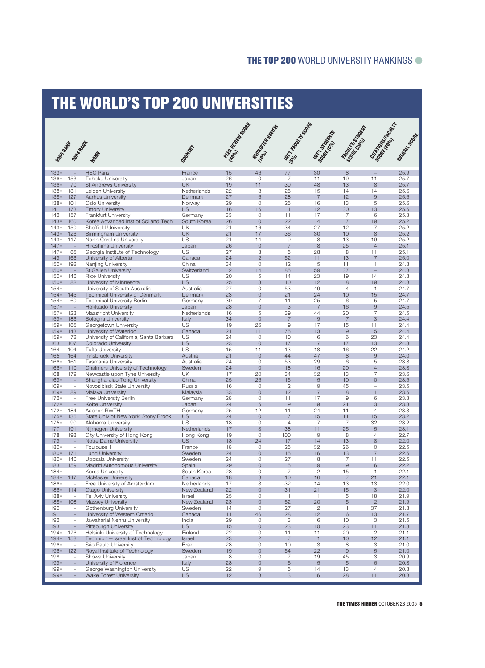### THE WORLD'S TOP 200 UNIVERSITIES

| 2009SMAN           | 2008-APAT                                            | MARK                                                                    | Courtful             | Perto Recipedade | Manufacture River         | Mill Road Haven              | Mr. Students         | <b>Factor HAMBOOK</b>        | <b>Grandon Control Control City</b> | ONEGRAP SCRIPTLE |
|--------------------|------------------------------------------------------|-------------------------------------------------------------------------|----------------------|------------------|---------------------------|------------------------------|----------------------|------------------------------|-------------------------------------|------------------|
| $133=$             | $\overline{\phantom{a}}$                             | <b>HEC Paris</b>                                                        | France               | 15               | 46                        | 77                           | 30                   | 8                            |                                     | 25.9             |
| $136=$             | 153                                                  | <b>Tohoku University</b>                                                | Japan                | 26               | $\mathbf{O}$              | 7                            | 11                   | 19                           | 11                                  | 25.7             |
| $136 =$            | 70                                                   | <b>St Andrews University</b>                                            | <b>UK</b>            | 19               | 11                        | 39                           | 48                   | 13                           | 8                                   | 25.7             |
| $138 =$            | 131                                                  | Leiden University                                                       | Netherlands          | 22               | 8                         | 25                           | 15                   | 14                           | 14                                  | 25.6             |
| $138 =$<br>$138 =$ | 127<br>101                                           | Aarhus University<br>Oslo University                                    | Denmark<br>Norway    | 27<br>29         | 6<br>$\mathbf 0$          | 28<br>25                     | $\overline{7}$<br>16 | 12<br>13                     | 9<br>5                              | 25.6<br>25.6     |
| 141                | 173                                                  | <b>Emory University</b>                                                 | <b>US</b>            | 16               | 15                        | $\overline{1}$               | 12                   | 30                           | 13                                  | 25.5             |
| 142                | 157                                                  | <b>Frankfurt University</b>                                             | Germany              | 33               | $\circ$                   | 11                           | 17                   | $\overline{7}$               | 6                                   | 25.3             |
| $143=$             | 160                                                  | Korea Advanced Inst of Sci and Tech                                     | South Korea          | 26               | $\overline{0}$            | 22                           | $\overline{4}$       | $\overline{7}$               | 19                                  | 25.2             |
| $143=$             | 150                                                  | <b>Sheffield University</b>                                             | UK                   | 21               | 16                        | 34                           | 27                   | 12                           | $\overline{7}$                      | 25.2             |
| $143=$             | 126                                                  | <b>Birmingham University</b>                                            | <b>UK</b>            | 21               | 17                        | 36                           | 30                   | 10                           | 8                                   | 25.2             |
| $143=$<br>$147=$   | 117<br>$\overline{\phantom{a}}$                      | North Carolina University<br>Hiroshima University                       | US<br>Japan          | 21<br>26         | 14<br>$\overline{0}$      | $\hbox{9}$<br>$\overline{7}$ | 8<br>8               | 13<br>25                     | 19<br>$\overline{4}$                | 25.2<br>25.1     |
| $147=$             | 65                                                   | Georgia Institute of Technology                                         | US                   | 27               | 8                         | 5                            | 28                   | 8                            | 11                                  | 25.1             |
| 149                | 166                                                  | University of Alberta                                                   | Canada               | 24               | $\overline{2}$            | 52                           | 11                   | 13                           | $\overline{7}$                      | 25.0             |
| $150 =$            | 192                                                  | Nanjing University                                                      | China                | 34               | $\circ$                   | 12                           | 5                    | 11                           | $\mathbf{1}$                        | 24.8             |
| $150=$             | $\overline{\phantom{a}}$                             | St Gallen University                                                    | Switzerland          | $\overline{2}$   | 14                        | 85                           | 59                   | 37                           | $\overline{\phantom{0}}$            | 24.8             |
| $150 =$            | 146                                                  | <b>Rice University</b>                                                  | US                   | 20               | 5                         | 14                           | 23                   | 19                           | 14                                  | 24.8             |
| $150=$             | 82                                                   | University of Minnesota                                                 | <b>US</b>            | 25               | 3                         | 10                           | 12                   | 8                            | 19                                  | 24.8             |
| $154=$<br>$154=$   | $\overline{\phantom{a}}$<br>145                      | University of South Australia<br><b>Technical University of Denmark</b> | Australia<br>Denmark | 27<br>23         | $\circ$<br>$\overline{0}$ | 53<br>21                     | 49<br>24             | $\overline{4}$<br>10         | $\overline{1}$<br>15                | 24.7<br>24.7     |
| $154=$             | 60                                                   | <b>Technical University Berlin</b>                                      | Germany              | 30               | 7                         | 11                           | 25                   | 6                            | 5                                   | 24.7             |
| $157=$             | $\overline{\phantom{a}}$                             | Hokkaido University                                                     | Japan                | 28               | $\mathbf{O}$              | 3                            | $\overline{7}$       | 16                           | $\overline{9}$                      | 24.5             |
| $157 =$            | 123                                                  | Maastricht University                                                   | Netherlands          | 16               | 5                         | 39                           | 44                   | 20                           | $\overline{7}$                      | 24.5             |
| $159=$             | 186                                                  | <b>Bologna University</b>                                               | Italy                | 34               | $\mathbf{O}$              | $\overline{7}$               | $\overline{9}$       | $\overline{7}$               | 3                                   | 24.4             |
| $159=$             | 165                                                  | Georgetown University                                                   | US                   | 19               | 26                        | 9                            | 17                   | 15                           | 11                                  | 24.4             |
| $159 =$            | 143                                                  | University of Waterloo                                                  | Canada               | 21               | 11                        | 75                           | 13                   | $\mathsf 9$                  | 5                                   | 24.4             |
| $159=$<br>163      | 72<br>107                                            | University of California, Santa Barbara<br>Colorado University          | US<br><b>US</b>      | 24<br>23         | $\circ$<br>$\circ$        | 10<br>17                     | 6<br>$\overline{7}$  | 6<br>17                      | 23<br>13                            | 24.4<br>24.3     |
| 164                | 104                                                  | <b>Tufts University</b>                                                 | US                   | 15               | 11                        | 13                           | 18                   | 16                           | 22                                  | 24.2             |
| 165                | 164                                                  | Innsbruck University                                                    | Austria              | 21               | $\circ$                   | 44                           | 47                   | 8                            | 9                                   | 24.0             |
| $166=$             | 161                                                  | <b>Tasmania University</b>                                              | Australia            | 24               | $\mathbf{O}$              | 53                           | 29                   | 6                            | 5                                   | 23.8             |
| $166 =$            | 110                                                  | <b>Chalmers University of Technology</b>                                | Sweden               | 24               | $\mathbf{0}$              | 18                           | 16                   | 20                           | $\overline{4}$                      | 23.8             |
| 168                | 179<br>$\overline{\phantom{a}}$                      | Newcastle upon Tyne University                                          | UK                   | 17               | 20                        | 34<br>15                     | 32                   | 13                           | $\overline{7}$<br>$\overline{0}$    | 23.6             |
| $169=$<br>$169=$   | $\overline{\phantom{a}}$                             | Shanghai Jiao Tong University<br>Novosibirsk State University           | China<br>Russia      | 25<br>16         | 26<br>0                   | $\mathbf{2}$                 | 5<br>9               | 10<br>45                     | $\qquad \qquad -$                   | 23.5<br>23.5     |
| $169=$             | 89                                                   | Malaya University                                                       | Malaysia             | 33               | $\overline{0}$            | 12                           | $\overline{7}$       | 8                            |                                     | 23.5             |
| $172=$             | $\overline{\phantom{a}}$                             | Free University Berlin                                                  | Germany              | 28               | $\circ$                   | 11                           | 17                   | $\mathrel{\mathsf{g}}$       | 6                                   | 23.3             |
| $172 =$            | $\equiv$                                             | Kobe University                                                         | Japan                | 24               | 5                         | 9                            | $\overline{9}$       | 21                           | 3                                   | 23.3             |
| $172 =$            | 184                                                  | Aachen RWTH                                                             | Germany              | 25               | 12                        | 11                           | 24                   | 11                           | $\overline{4}$                      | 23.3             |
| $175=$             | 136                                                  | State Univ of New York, Stony Brook                                     | <b>US</b>            | 24               | $\mathbf{0}$<br>$\circ$   | $\overline{7}$               | 15                   | 11                           | 15                                  | 23.2             |
| $175=$<br>177      | 90<br>191                                            | Alabama University<br>Nijmegen University                               | US<br>Netherlands    | 18<br>17         | 3                         | $\overline{4}$<br>38         | $\overline{7}$<br>11 | $\overline{7}$<br>25         | 32<br>5                             | 23.2<br>23.1     |
| 178                | 198                                                  | City University of Hong Kong                                            | Hong Kong            | 19               | 0                         | 100                          | 9                    | 8                            | $\overline{4}$                      | 22.7             |
| 179                | $\overline{a}$                                       | Notre Dame University                                                   | <b>US</b>            | 18               | 24                        | 17                           | 14                   | 13                           | 8                                   | 22.0             |
| $180 =$            | $\overline{\phantom{a}}$                             | Toulouse 1                                                              | France               | 18               | $\circ$                   | 25                           | 32                   | 26                           | 0                                   | 22.5             |
| $180=$             | 171                                                  | <b>Lund University</b>                                                  | Sweden               | 24               | $\overline{0}$            | 15                           | 16                   | 13                           | $\overline{7}$                      | 22.5             |
| $180 =$            | 140                                                  | Uppsala University                                                      | Sweden               | 24<br>29         | $\circ$                   | 27                           | 8<br>$\mathsf{9}$    | $\overline{7}$<br>$\hbox{9}$ | 11                                  | 22.5             |
| 183<br>$184=$      | 159<br>$\overline{\phantom{a}}$                      | Madrid Autonomous University<br>Korea University                        | Spain<br>South Korea | 28               | $\circ$<br>0              | 5<br>$\overline{7}$          | $\overline{c}$       | 15                           | 6<br>$\overline{1}$                 | 22.2<br>22.1     |
| $184 =$            | 147                                                  | <b>McMaster University</b>                                              | Canada               | 18               | 8                         | 10                           | 16                   | $\overline{7}$               | 21                                  | 22.1             |
| $186 =$            | $\overline{\phantom{a}}$                             | Free University of Amsterdam                                            | Netherlands          | 17               | 3                         | 32                           | 14                   | 13                           | 13                                  | 22.0             |
| $186 =$            | 114                                                  | Otago University                                                        | New Zealand          | 22               | $\mathsf{O}\xspace$       | 31                           | 21                   | 15                           | 3                                   | 22.0             |
| $188 =$            | $\overline{\phantom{a}}$                             | Tel Aviv University                                                     | Israel               | 25               | $\circ$                   | $\mathbf{1}$                 | $\overline{1}$       | 5                            | 18                                  | 21.9             |
| $188 =$            | 108                                                  | Massey University                                                       | New Zealand          | 23               | $\circ$                   | 62                           | 20                   | $\sqrt{5}$                   | $\overline{2}$                      | 21.9             |
| 190<br>191         | $\overline{\phantom{a}}$<br>$\overline{\phantom{a}}$ | Gothenburg University<br>University of Western Ontario                  | Sweden<br>Canada     | 14<br>11         | $\circ$<br>46             | 27<br>28                     | $\mathbf{2}$<br>12   | 1<br>$\,$ 6 $\,$             | 37<br>13                            | 21.8<br>21.7     |
| 192                | $\overline{\phantom{a}}$                             | Jawaharlal Nehru University                                             | India                | 29               | $\circ$                   | 3                            | 6                    | 10                           | 3                                   | 21.5             |
| 193                | $\overline{\phantom{0}}$                             | Pittsburgh University                                                   | <b>US</b>            | 15               | $\mathbf{O}$              | 23                           | 10                   | 23                           | 11                                  | 21.3             |
| $194 =$            | 176                                                  | Helsinki University of Technology                                       | Finland              | 22               | $\circ$                   | 11                           | 11                   | 20                           | $\mathbf{2}$                        | 21.1             |
| $194 =$            | 158                                                  | Technion - Israel Inst of Technology                                    | Israel               | 23               | $\overline{2}$            | $\overline{7}$               | $\mathbf{1}$         | 10                           | 12                                  | 21.1             |
| $196 =$            | $\overline{\phantom{a}}$                             | São Paulo University                                                    | <b>Brazil</b>        | 28               | $\circ$                   | 10                           | 3                    | 8                            | 3                                   | 21.0             |
| $196 =$<br>198     | 122<br>$\overline{\phantom{0}}$                      | Royal Institute of Technology<br>Showa University                       | Sweden<br>Japan      | 19<br>8          | $\circ$<br>$\circ$        | 54<br>$\overline{7}$         | 22<br>19             | $\mathsf 9$<br>45            | 5<br>3                              | 21.0<br>20.9     |
| $199 =$            | $\equiv$                                             | University of Florence                                                  | Italy                | 28               | $\mathbf{O}$              | 6                            | 5                    | $\sqrt{5}$                   | 6                                   | 20.8             |
| $199=$             | $\overline{\phantom{0}}$                             | George Washington University                                            | US                   | 22               | 9                         | 5                            | 14                   | 13                           | $\overline{4}$                      | 20.8             |
| $199 =$            | $\overline{\phantom{0}}$                             | <b>Wake Forest University</b>                                           | <b>US</b>            | 12               | 8                         | 3                            | 6                    | 28                           | 11                                  | 20.8             |
|                    |                                                      |                                                                         |                      |                  |                           |                              |                      |                              |                                     |                  |

THE TIMES HIGHER OCTOBER 28 2005 5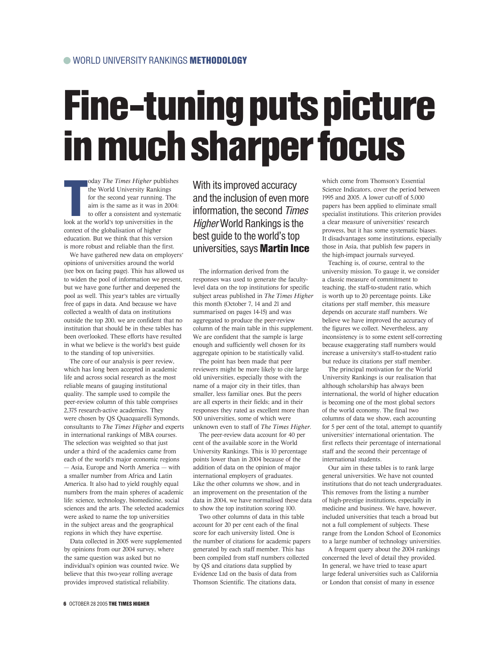## Fine-tuning puts picture in much sharper focus

**Tanada**<br>Tanada<br>Tanada a t oday *The Times Higher* publishes the World University Rankings for the second year running. The aim is the same as it was in 2004: to offer a consistent and systematic look at the world's top universities in the context of the globalisation of higher education. But we think that this version is more robust and reliable than the first.

We have gathered new data on employers' opinions of universities around the world (see box on facing page). This has allowed us to widen the pool of information we present, but we have gone further and deepened the pool as well. This year's tables are virtually free of gaps in data. And because we have collected a wealth of data on institutions outside the top 200, we are confident that no institution that should be in these tables has been overlooked. These efforts have resulted in what we believe is the world's best guide to the standing of top universities.

The core of our analysis is peer review, which has long been accepted in academic life and across social research as the most reliable means of gauging institutional quality. The sample used to compile the peer-review column of this table comprises 2,375 research-active academics. They were chosen by QS Quacquarelli Symonds, consultants to *The Times Higher* and experts in international rankings of MBA courses. The selection was weighted so that just under a third of the academics came from each of the world's major economic regions — Asia, Europe and North America — with a smaller number from Africa and Latin America. It also had to yield roughly equal numbers from the main spheres of academic life: science, technology, biomedicine, social sciences and the arts. The selected academics were asked to name the top universities in the subject areas and the geographical regions in which they have expertise.

Data collected in 2005 were supplemented by opinions from our 2004 survey, where the same question was asked but no individual's opinion was counted twice. We believe that this two-year rolling average provides improved statistical reliability.

With its improved accuracy and the inclusion of even more information, the second Times Higher World Rankings is the best guide to the world's top universities, says Martin Ince

The information derived from the responses was used to generate the facultylevel data on the top institutions for specific subject areas published in *The Times Higher* this month (October 7, 14 and 21 and summarised on pages 14-15) and was aggregated to produce the peer-review column of the main table in this supplement. We are confident that the sample is large enough and sufficiently well chosen for its aggregate opinion to be statistically valid.

The point has been made that peer reviewers might be more likely to cite large old universities, especially those with the name of a major city in their titles, than smaller, less familiar ones. But the peers are all experts in their fields; and in their responses they rated as excellent more than 500 universities, some of which were unknown even to staff of *The Times Higher*.

The peer-review data account for 40 per cent of the available score in the World University Rankings. This is 10 percentage points lower than in 2004 because of the addition of data on the opinion of major international employers of graduates. Like the other columns we show, and in an improvement on the presentation of the data in 2004, we have normalised these data to show the top institution scoring 100.

Two other columns of data in this table account for 20 per cent each of the final score for each university listed. One is the number of citations for academic papers generated by each staff member. This has been compiled from staff numbers collected by QS and citations data supplied by Evidence Ltd on the basis of data from Thomson Scientific. The citations data,

which come from Thomson's Essential Science Indicators, cover the period between 1995 and 2005. A lower cut-off of 5,000 papers has been applied to eliminate small specialist institutions. This criterion provides a clear measure of universities' research prowess, but it has some systematic biases. It disadvantages some institutions, especially those in Asia, that publish few papers in the high-impact journals surveyed.

Teaching is, of course, central to the university mission. To gauge it, we consider a classic measure of commitment to teaching, the staff-to-student ratio, which is worth up to 20 percentage points. Like citations per staff member, this measure depends on accurate staff numbers. We believe we have improved the accuracy of the figures we collect. Nevertheless, any inconsistency is to some extent self-correcting because exaggerating staff numbers would increase a university's staff-to-student ratio but reduce its citations per staff member.

The principal motivation for the World University Rankings is our realisation that although scholarship has always been international, the world of higher education is becoming one of the most global sectors of the world economy. The final two columns of data we show, each accounting for 5 per cent of the total, attempt to quantify universities' international orientation. The first reflects their percentage of international staff and the second their percentage of international students.

Our aim in these tables is to rank large general universities. We have not counted institutions that do not teach undergraduates. This removes from the listing a number of high-prestige institutions, especially in medicine and business. We have, however, included universities that teach a broad but not a full complement of subjects. These range from the London School of Economics to a large number of technology universities.

A frequent query about the 2004 rankings concerned the level of detail they provided. In general, we have tried to tease apart large federal universities such as California or London that consist of many in essence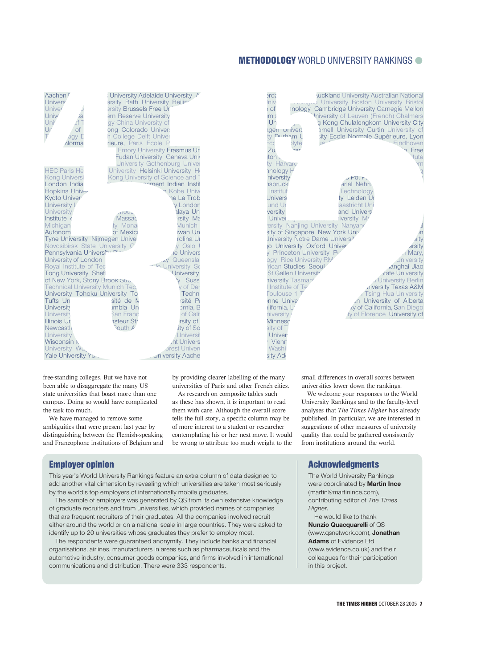#### METHODOLOGY WORLD UNIVERSITY RANKINGS

|                                                                   |                                                                  |                                                                   |                                                                                | <b>METHODOLOGY</b> WORLD UNIVERSITY RANKINGS                                                        |
|-------------------------------------------------------------------|------------------------------------------------------------------|-------------------------------------------------------------------|--------------------------------------------------------------------------------|-----------------------------------------------------------------------------------------------------|
|                                                                   |                                                                  |                                                                   |                                                                                |                                                                                                     |
|                                                                   |                                                                  |                                                                   |                                                                                |                                                                                                     |
|                                                                   |                                                                  |                                                                   |                                                                                |                                                                                                     |
| Aachen F                                                          |                                                                  | University Adelaide University A                                  | erdε                                                                           | uckland University Australian National                                                              |
| Univers <sup>®</sup><br>Univer                                    | ersity Bath University Beijing<br><b>ersity Brussels Free Ur</b> |                                                                   | niv<br>of ؛                                                                    | <b>Longina</b> University Boston University Bristol<br>inology Cambridge University Carnegie Mellon |
| Unive<br>Ja                                                       | ern Reserve University                                           |                                                                   | mis                                                                            | Iniversity of Leuven (French) Chalmers                                                              |
| Univ<br>⊺ fر                                                      | gy China University of                                           |                                                                   | Un                                                                             | g Kong Chulalongkorn University City                                                                |
| Ur<br><b>of</b>                                                   | ong Colorado Univers                                             |                                                                   | agen univers                                                                   | <b>prnell University Curtin University of</b>                                                       |
| $\top$<br><b>Jay D</b>                                            | n College Delft Univer                                           |                                                                   | ty Durham L                                                                    | sity Ecole Normale Supérieure, Lyon                                                                 |
| Norma                                                             | rieure, Paris Ecole P                                            |                                                                   | $\overline{P}$<br>Ēсс<br><b>plyte</b>                                          | Eindhoven                                                                                           |
|                                                                   |                                                                  | <b>Emory University Erasmus Ur</b>                                | Zu.<br>rar                                                                     | n Free                                                                                              |
|                                                                   |                                                                  | <b>Fudan University Geneva Unive</b>                              | ton $\sqrt{ }$                                                                 | tute                                                                                                |
| <b>HEC Paris He</b>                                               |                                                                  | University Gothenburg Univer<br>University Helsinki University He | ty Harvaro                                                                     | 'n                                                                                                  |
| <b>Kong Universi</b>                                              |                                                                  | Kong University of Science and 7                                  | <b>Inology</b> H<br>niversity                                                  | ŋ<br>5F0, F1                                                                                        |
| London India                                                      |                                                                  | moment Indian Instit                                              | <b>nsbruck</b>                                                                 | arlal Nehru                                                                                         |
| Hopkins Univer                                                    |                                                                  | n Kobe Unive                                                      | Institut                                                                       | Technology                                                                                          |
| Kyoto Univer                                                      |                                                                  | ne La Trob                                                        | <b>Jnivers</b>                                                                 | ty Leiden Ur                                                                                        |
| University L                                                      |                                                                  | y London                                                          | und Ur                                                                         | aastricht Uni                                                                                       |
| <b>University</b>                                                 | <b>ATOUS</b>                                                     | alaya Un                                                          | versity                                                                        | and Univers                                                                                         |
| Institute o                                                       | Massac                                                           | rsity Ma                                                          | Univer,                                                                        | iversity Mr                                                                                         |
| Michigan                                                          | ty Mona                                                          | <b>Munich</b>                                                     | ersity Nanjing University Nanyang                                              |                                                                                                     |
| Autonom                                                           | of Mexic                                                         | wan Un<br>rolina Ur                                               | sity of Singapore New York Univ<br>Jniversity Notre Dame Universi <sup>+</sup> | JŊ<br>sity                                                                                          |
| Tyne University Nijmegen Univer<br>Novosibirsk State University O |                                                                  | y Oslo                                                            | jo University Oxford Univer                                                    | <b>arsity</b>                                                                                       |
| Pennsylvania University Di-                                       |                                                                  | le Univers                                                        | y Princeton University Pu                                                      | . <sub>1</sub> Mary,                                                                                |
| University of London                                              |                                                                  | v Queenslai                                                       | ogy Rice University RM'                                                        | <b>Jniversity</b>                                                                                   |
| Royal Institute of Tec                                            |                                                                  | <b>Milo University So</b>                                         | rican Studies Seoul                                                            | anghai Jiao                                                                                         |
| <b>Tong University Shef</b>                                       |                                                                  | <b>University</b>                                                 | <b>St Gallen University</b>                                                    | <b>state University</b>                                                                             |
| of New York, Stony Brook Stra.                                    |                                                                  | <b>v</b> Sussi                                                    | niversity Tasman <sup>i</sup>                                                  | . University Berlin                                                                                 |
| <b>Technical University Munich Tec.</b>                           |                                                                  | y of Der                                                          | I Institute of Te                                                              | diversity Texas A&M                                                                                 |
| University Tohoku University To<br>Tufts Un                       | sité de N                                                        | <b>Techn</b><br>rsité Pa                                          | Toulouse 1 T<br>nne Univer                                                     | Tsing Hua University                                                                                |
| University                                                        | <b>imbia Un</b>                                                  | ornia, B                                                          | ulifornia, L                                                                   | n University of Alberta<br>ky of California, San Diego                                              |
| <b>University</b>                                                 | <b>San Franc</b>                                                 | of Calif                                                          | niversity r                                                                    | ty of Florence University of                                                                        |
| Illinois Ur                                                       | asteur Str                                                       | rsity of                                                          | <b>Minnesc</b>                                                                 |                                                                                                     |
| Newcastle                                                         | <b>Routh A</b>                                                   | ity of So                                                         | sity of Tr                                                                     |                                                                                                     |
| University                                                        |                                                                  | Universit                                                         | <b>Univers</b>                                                                 |                                                                                                     |
| Wisconsin N                                                       |                                                                  | <b>ht Univers</b>                                                 | Vienn                                                                          |                                                                                                     |
| University Wa<br>Volo University                                  |                                                                  | <b>orest Univers</b><br>niversity Asobo                           | Washir<br>$\frac{1}{2}$                                                        |                                                                                                     |
|                                                                   |                                                                  |                                                                   |                                                                                |                                                                                                     |

free-standing colleges. But we have not been able to disaggregate the many US state universities that boast more than one campus. Doing so would have complicated the task too much.

We have managed to remove some ambiguities that were present last year by distinguishing between the Flemish-speaking and Francophone institutions of Belgium and by providing clearer labelling of the many universities of Paris and other French cities.

As research on composite tables such as these has shown, it is important to read them with care. Although the overall score tells the full story, a specific column may be of more interest to a student or researcher contemplating his or her next move. It would be wrong to attribute too much weight to the



small differences in overall scores between universities lower down the rankings.

We welcome your responses to the World University Rankings and to the faculty-level analyses that *The Times Higher* has already published. In particular, we are interested in suggestions of other measures of university quality that could be gathered consistently from institutions around the world.

#### Employer opinion

This year's World University Rankings feature an extra column of data designed to add another vital dimension by revealing which universities are taken most seriously by the world's top employers of internationally mobile graduates.

The sample of employers was generated by QS from its own extensive knowledge of graduate recruiters and from universities, which provided names of companies that are frequent recruiters of their graduates. All the companies involved recruit either around the world or on a national scale in large countries. They were asked to identify up to 20 universities whose graduates they prefer to employ most.

The respondents were guaranteed anonymity. They include banks and financial organisations, airlines, manufacturers in areas such as pharmaceuticals and the automotive industry, consumer goods companies, and firms involved in international communications and distribution. There were 333 respondents.

#### **Acknowledgments**

The World University Rankings were coordinated by **Martin Ince** (martin@martinince.com), contributing editor of *The Times Higher*.

He would like to thank **Nunzio Quacquarelli** of QS (www.qsnetwork.com), **Jonathan Adams** of Evidence Ltd (www.evidence.co.uk) and their colleagues for their participation in this project.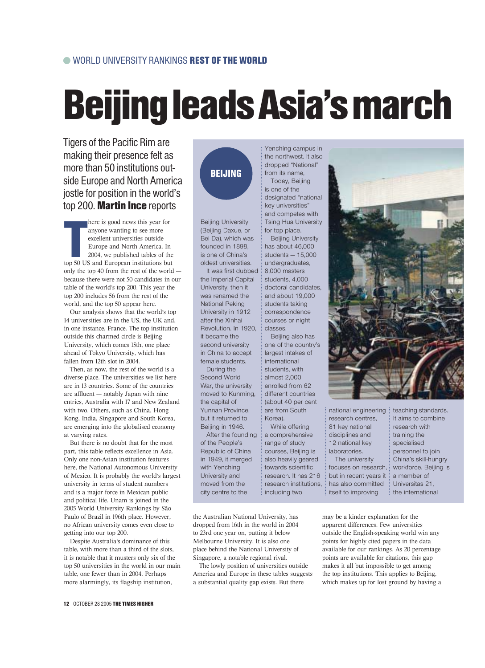# Beijing leads Asia's march

Tigers of the Pacific Rim are making their presence felt as more than 50 institutions outside Europe and North America jostle for position in the world's top 200. Martin Ince reports

 $\begin{array}{c}\n\hline\n\end{array}$ here is good news this year for anyone wanting to see more excellent universities outside Europe and North America. In 2004, we published tables of the top 50 US and European institutions but only the top 40 from the rest of the world because there were not 50 candidates in our table of the world's top 200. This year the top 200 includes 56 from the rest of the world, and the top 50 appear here.

Our analysis shows that the world's top 14 universities are in the US, the UK and, in one instance, France. The top institution outside this charmed circle is Beijing University, which comes 15th, one place ahead of Tokyo University, which has fallen from 12th slot in 2004.

Then, as now, the rest of the world is a diverse place. The universities we list here are in 13 countries. Some of the countries are affluent — notably Japan with nine entries, Australia with 17 and New Zealand with two. Others, such as China, Hong Kong, India, Singapore and South Korea, are emerging into the globalised economy at varying rates.

But there is no doubt that for the most part, this table reflects excellence in Asia. Only one non-Asian institution features here, the National Autonomous University of Mexico. It is probably the world's largest university in terms of student numbers and is a major force in Mexican public and political life. Unam is joined in the 2005 World University Rankings by São Paulo of Brazil in 196th place. However, no African university comes even close to getting into our top 200.

Despite Australia's dominance of this table, with more than a third of the slots, it is notable that it musters only six of the top 50 universities in the world in our main table, one fewer than in 2004. Perhaps more alarmingly, its flagship institution,

## BEIJING

Beijing University (Beijing Daxue, or Bei Da), which was founded in 1898, is one of China's oldest universities.

It was first dubbed the Imperial Capital University, then it was renamed the National Peking University in 1912 after the Xinhai Revolution. In 1920, it became the second university in China to accept female students. During the

Second World War, the university moved to Kunming, the capital of Yunnan Province, but it returned to Beijing in 1946.

After the founding of the People's Republic of China in 1949, it merged with Yenching University and moved from the city centre to the

the Australian National University, has dropped from 16th in the world in 2004 to 23rd one year on, putting it below Melbourne University. It is also one place behind the National University of Singapore, a notable regional rival.

The lowly position of universities outside America and Europe in these tables suggests a substantial quality gap exists. But there

Yenching campus in the northwest. It also dropped "National" from its name, Today, Beijing

is one of the designated "national key universities" and competes with Tsing Hua University for top place.

Beijing University has about 46,000 students — 15,000 undergraduates, 8,000 masters students, 4,000 doctoral candidates, and about 19,000 students taking correspondence courses or night classes.

Beijing also has one of the country's largest intakes of international students, with almost 2,000 enrolled from 62 different countries (about 40 per cent are from South Korea).

While offering a comprehensive range of study courses, Beijing is also heavily geared towards scientific research. It has 216 research institutions, including two



national engineering research centres, 81 key national disciplines and 12 national key laboratories. The university

focuses on research, but in recent years it has also committed itself to improving

teaching standards. It aims to combine research with training the specialised personnel to join China's skill-hungry workforce. Beijing is a member of Universitas 21, the international

may be a kinder explanation for the apparent differences. Few universities outside the English-speaking world win any points for highly cited papers in the data available for our rankings. As 20 percentage points are available for citations, this gap makes it all but impossible to get among the top institutions. This applies to Beijing, which makes up for lost ground by having a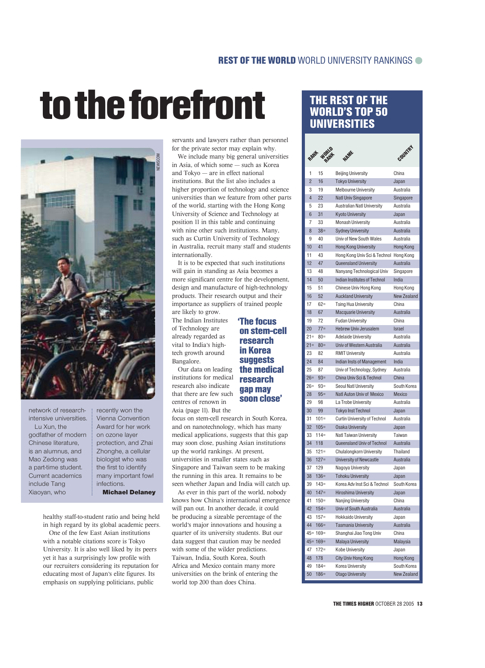# to the forefront THE REST OF THE



network of researchintensive universities.

Lu Xun, the godfather of modern Chinese literature, is an alumnus, and Mao Zedong was a part-time student. Current academics include Tang Xiaoyan, who

recently won the Vienna Convention Award for her work on ozone layer protection, and Zhai Zhonghe, a cellular biologist who was the first to identify many important fowl infections. Michael Delaney

healthy staff-to-student ratio and being held in high regard by its global academic peers.

One of the few East Asian institutions with a notable citations score is Tokyo University. It is also well liked by its peers yet it has a surprisingly low profile with our recruiters considering its reputation for educating most of Japan's elite figures. Its emphasis on supplying politicians, public

servants and lawyers rather than personnel for the private sector may explain why.

We include many big general universities in Asia, of which some — such as Korea and Tokyo — are in effect national institutions. But the list also includes a higher proportion of technology and science universities than we feature from other parts of the world, starting with the Hong Kong University of Science and Technology at position 11 in this table and continuing with nine other such institutions. Many, such as Curtin University of Technology in Australia, recruit many staff and students internationally.

It is to be expected that such institutions will gain in standing as Asia becomes a more significant centre for the development, design and manufacture of high-technology products. Their research output and their importance as suppliers of trained people are likely to grow.

The Indian Institutes of Technology are already regarded as vital to India's hightech growth around Bangalore.

Our data on leading institutions for medical research also indicate that there are few such centres of renown in Asia (page 11). But the

#### on stem-cell research in Korea **suggests** the medical research gap may soon close'

'The focus

focus on stem-cell research in South Korea, and on nanotechnology, which has many medical applications, suggests that this gap may soon close, pushing Asian institutions up the world rankings. At present, universities in smaller states such as Singapore and Taiwan seem to be making the running in this area. It remains to be seen whether Japan and India will catch up.

As ever in this part of the world, nobody knows how China's international emergence will pan out. In another decade, it could be producing a sizeable percentage of the world's major innovations and housing a quarter of its university students. But our data suggest that caution may be needed with some of the wilder predictions. Taiwan, India, South Korea, South Africa and Mexico contain many more universities on the brink of entering the world top 200 than does China.

### WORLD'S TOP 50 UNIVERSITIES

|                |              | NAME                                   | COUNTRY            |
|----------------|--------------|----------------------------------------|--------------------|
| 1              | 15           | <b>Beijing University</b>              | China              |
| $\overline{2}$ | 16           | <b>Tokyo University</b>                | Japan              |
| 3              | 19           | Melbourne University                   | Australia          |
| $\overline{4}$ | 22           | <b>Natl Univ Singapore</b>             | Singapore          |
| 5              | 23           | Australian Natl University             | Australia          |
| 6              | 31           | <b>Kyoto University</b>                | Japan              |
| 7              | 33           | <b>Monash University</b>               | Australia          |
| 8              | $38=$        | <b>Sydney University</b>               | Australia          |
| 9              | 40           | Univ of New South Wales                | Australia          |
| 10             | 41           | <b>Hong Kong University</b>            | Hong Kong          |
| 11             | 43           | Hong Kong Univ Sci & Technol Hong Kong |                    |
| 12             | 47           | Queensland University                  | Australia          |
| 13             | 48           | Nanyang Technological Univ             | Singapore          |
| 14             | 50           | Indian Institutes of Technol           | India              |
| 15             | 51           | Chinese Univ Hong Kong                 | Hong Kong          |
| 16             | 52           | <b>Auckland University</b>             | <b>New Zealand</b> |
| 17             | $62 =$       | <b>Tsing Hua University</b>            | China              |
| 18             | 67           | <b>Macquarie University</b>            | Australia          |
| 19             | 72           | <b>Fudan University</b>                | China              |
| 20             | $77 =$       | Hebrew Univ Jerusalem                  | <b>Israel</b>      |
| $21 =$         | $80 =$       | <b>Adelaide University</b>             | Australia          |
| $21 =$         | $80 =$       | Univ of Western Australia              | Australia          |
| 23             | 82           | <b>RMIT University</b>                 | Australia          |
| 24             | 84           | Indian Insts of Management             | India              |
| 25             | 87           | Univ of Technology, Sydney             | Australia          |
| $26=$          | $93 =$       | China Univ Sci & Technol               | China              |
| 26=            | $93=$        | Seoul Natl University                  | South Korea        |
| 28             | $95 =$       | Natl Auton Univ of Mexico              | Mexico             |
| 29             | 98           | La Trobe University                    | Australia          |
| 30             | 99           | <b>Tokyo Inst Technol</b>              | Japan              |
| 31             | $101 =$      | <b>Curtin University of Technol</b>    | Australia          |
| 32             | $105=$       | <b>Osaka University</b>                | Japan              |
| 33             | $114=$       | Natl Taiwan University                 | Taiwan             |
| 34             | 118          | Queensland Univ of Technol             | Australia          |
| 35             | $121 =$      | Chulalongkorn University               | Thailand           |
| 36             | $127 =$      | University of Newcastle                | Australia          |
| 37             | 129          | Nagoya University                      | Japan              |
| 38             | $136=$       | <b>Tohoku University</b>               | Japan              |
| 39             | $143=$       | Korea Adv Inst Sci & Technol           | South Korea        |
| 40             | $147=$       | Hiroshima University                   | Japan              |
| 41             | $150=$       | Nanjing University                     | China              |
| 42             | $154=$       | Univ of South Australia                | Australia          |
| 43             | $157 =$      | <b>Hokkaido University</b>             | Japan              |
| 44             | $166 =$      | <b>Tasmania University</b>             | Australia          |
|                | $45 = 169 =$ | Shanghai Jiao Tong Univ                | China              |
|                | $45 = 169 =$ | <b>Malaya University</b>               | Malaysia           |
| 47             | $172 =$      | <b>Kobe University</b>                 | Japan              |
| 48             | 178          | City Univ Hong Kong                    | Hong Kong          |
| 49             | $184=$       | Korea University                       | South Korea        |
| 50             | $186=$       | <b>Otago University</b>                | <b>New Zealand</b> |
|                |              |                                        |                    |